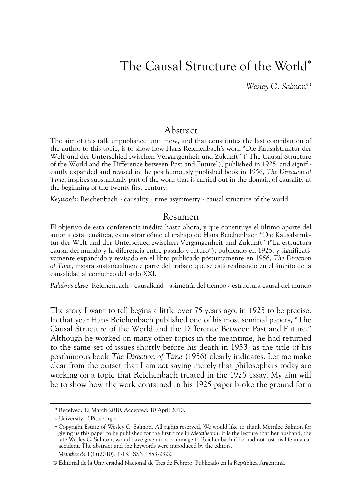*Wesley C. Salmon*<sup>\*\*</sup>

## Abstract

The aim of this talk unpublished until now, and that constitutes the last contribution of the author to this topic, is to show how Hans Reichenbach's work "Die Kausalstruktur der Welt und der Unterschied zwischen Vergangenheit und Zukunft" ("The Causal Structure of the World and the Difference between Past and Future"), published in 1925, and significantly expanded and revised in the posthumously published book in 1956, *The Direction of Time*, inspires substantially part of the work that is carried out in the domain of causality at the beginning of the twenty first century.

*Keywords*: Reichenbach - causality - time asymmetry - causal structure of the world

## Resumen

El objetivo de esta conferencia inédita hasta ahora, y que constituye el último aporte del autor a esta temática, es mostrar cómo el trabajo de Hans Reichenbach "Die Kausalstruktur der Welt und der Unterschied zwischen Vergangenheit und Zukunft" ("La estructura causal del mundo y la diferencia entre pasado y futuro"), publicado en 1925, y significativamente expandido y revisado en el libro publicado póstumamente en 1956, *The Direction of Time*, inspira sustancialmente parte del trabajo que se está realizando en el ámbito de la causalidad al comienzo del siglo XXI.

*Palabras clave*: Reichenbach - causalidad - asimetría del tiempo - estructura causal del mundo

The story I want to tell begins a little over 75 years ago, in 1925 to be precise. In that year Hans Reichenbach published one of his most seminal papers, "The Causal Structure of the World and the Difference Between Past and Future." Although he worked on many other topics in the meantime, he had returned to the same set of issues shortly before his death in 1953, as the title of his posthumous book *The Direction of Time* (1956) clearly indicates. Let me make clear from the outset that I am *not* saying merely that philosophers today are working on a topic that Reichenbach treated in the 1925 essay. My aim will be to show how the work contained in his 1925 paper broke the ground for a

<sup>\*</sup> Received: 12 March 2010. Accepted: 10 April 2010.

 $+$  University of Pittsburgh.

w Copyright Estate of Wesley C. Salmon. All rights reserved. We would like to thank Merrilee Salmon for giving us this paper to be published for the first time in *Metatheoria*. It is the lecture that her husband, the late Wesley C. Salmon, would have given in a hommage to Reichenbach if he had not lost his life in a car accident. The abstract and the keywords were introduced by the editors.

*Metatheoria* 1(1)(2010): 1-13. ISSN 1853-2322.

<sup>©</sup> Editorial de la Universidad Nacional de Tres de Febrero. Publicado en la República Argentina.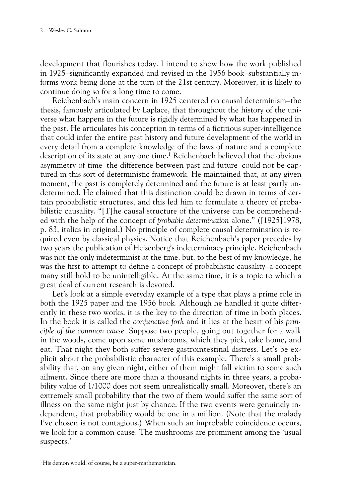development that flourishes today. I intend to show how the work published in 1925–significantly expanded and revised in the 1956 book–substantially informs work being done at the turn of the 21st century. Moreover, it is likely to continue doing so for a long time to come.

Reichenbach's main concern in 1925 centered on causal determinism–the thesis, famously articulated by Laplace, that throughout the history of the universe what happens in the future is rigidly determined by what has happened in the past. He articulates his conception in terms of a fictitious super-intelligence that could infer the entire past history and future development of the world in every detail from a complete knowledge of the laws of nature and a complete description of its state at any one time.<sup>1</sup> Reichenbach believed that the obvious asymmetry of time–the difference between past and future–could not be captured in this sort of deterministic framework. He maintained that, at any given moment, the past is completely determined and the future is at least partly undetermined. He claimed that this distinction could be drawn in terms of certain probabilistic structures, and this led him to formulate a theory of probabilistic causality. "[T]he causal structure of the universe can be comprehended with the help of the concept of *probable determination* alone." ([1925]1978, p. 83, italics in original.) No principle of complete causal determination is required even by classical physics. Notice that Reichenbach's paper precedes by two years the publication of Heisenberg's indeterminacy principle. Reichenbach was not the only indeterminist at the time, but, to the best of my knowledge, he was the first to attempt to define a concept of probabilistic causality–a concept many still hold to be unintelligible. At the same time, it is a topic to which a great deal of current research is devoted.

Let's look at a simple everyday example of a type that plays a prime role in both the 1925 paper and the 1956 book. Although he handled it quite differently in these two works, it is the key to the direction of time in both places. In the book it is called the *conjunctive fork* and it lies at the heart of his *principle of the common cause.* Suppose two people, going out together for a walk in the woods, come upon some mushrooms, which they pick, take home, and eat. That night they both suffer severe gastrointestinal distress. Let's be explicit about the probabilistic character of this example. There's a small probability that, on any given night, either of them might fall victim to some such ailment. Since there are more than a thousand nights in three years, a probability value of 1/1000 does not seem unrealistically small. Moreover, there's an extremely small probability that the two of them would suffer the same sort of illness on the same night just by chance. If the two events were genuinely independent, that probability would be one in a million. (Note that the malady I've chosen is not contagious.) When such an improbable coincidence occurs, we look for a common cause. The mushrooms are prominent among the 'usual suspects.'

<sup>&</sup>lt;sup>1</sup>His demon would, of course, be a super-mathematician.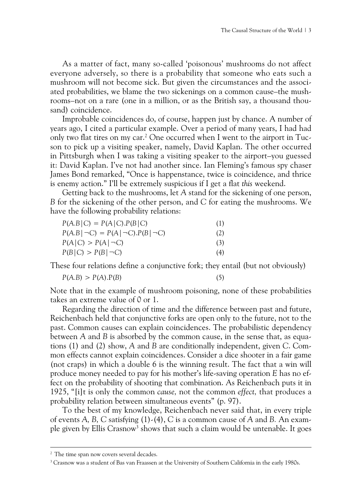As a matter of fact, many so-called 'poisonous' mushrooms do not affect everyone adversely, so there is a probability that someone who eats such a mushroom will not become sick. But given the circumstances and the associated probabilities, we blame the two sickenings on a common cause–the mushrooms–not on a rare (one in a million, or as the British say, a thousand thousand) coincidence.

Improbable coincidences do, of course, happen just by chance. A number of years ago, I cited a particular example. Over a period of many years, I had had only two flat tires on my car.<sup>2</sup> One occurred when I went to the airport in Tucson to pick up a visiting speaker, namely, David Kaplan. The other occurred in Pittsburgh when I was taking a visiting speaker to the airport–you guessed it: David Kaplan. I've not had another since. Ian Fleming's famous spy chaser James Bond remarked, "Once is happenstance, twice is coincidence, and thrice is enemy action." I'll be extremely suspicious if I get a flat *this* weekend.

Getting back to the mushrooms, let *A* stand for the sickening of one person, *B* for the sickening of the other person, and *C* for eating the mushrooms. We have the following probability relations:

| $P(A.B   C) = P(A   C).P(B   C)$<br>$P(A.B   \neg C) = P(A   \neg C) \cdot P(B   \neg C)$<br>$P(A C) > P(A \neg C)$<br>$P(B C) > P(B \neg C)$ | (1)<br>(2)<br>(3)<br>(4) |
|-----------------------------------------------------------------------------------------------------------------------------------------------|--------------------------|
|-----------------------------------------------------------------------------------------------------------------------------------------------|--------------------------|

These four relations define a conjunctive fork; they entail (but not obviously)

$$
P(A.B) > P(A).P(B) \tag{5}
$$

$$
(5)
$$

Note that in the example of mushroom poisoning, none of these probabilities takes an extreme value of 0 or 1.

Regarding the direction of time and the difference between past and future, Reichenbach held that conjunctive forks are open only to the future, not to the past. Common causes can explain coincidences. The probabilistic dependency between *A* and *B* is absorbed by the common cause, in the sense that, as equations (1) and (2) show, *A* and *B* are conditionally independent, given *C*. Common effects cannot explain coincidences. Consider a dice shooter in a fair game (not craps) in which a double 6 is the winning result. The fact that a win will produce money needed to pay for his mother's life-saving operation *E* has no effect on the probability of shooting that combination. As Reichenbach puts it in 1925, "[i]t is only the common *cause,* not the common *effect,* that produces a probability relation between simultaneous events" (p. 97).

To the best of my knowledge, Reichenbach never said that, in every triple of events *A, B, C* satisfying (1)-(4), *C* is a common cause of *A* and *B.* An example given by Ellis Crasnow<sup>3</sup> shows that such a claim would be untenable. It goes

<sup>&</sup>lt;sup>2</sup> The time span now covers several decades.

<sup>&</sup>lt;sup>3</sup> Crasnow was a student of Bas van Fraassen at the University of Southern California in the early 1980s.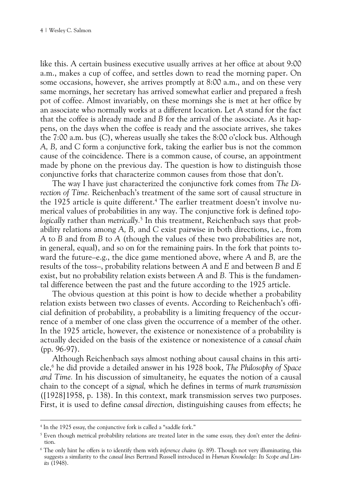like this. A certain business executive usually arrives at her office at about 9:00 a.m., makes a cup of coffee, and settles down to read the morning paper. On some occasions, however, she arrives promptly at 8:00 a.m., and on these very same mornings, her secretary has arrived somewhat earlier and prepared a fresh pot of coffee. Almost invariably, on these mornings she is met at her office by an associate who normally works at a different location. Let *A* stand for the fact that the coffee is already made and *B* for the arrival of the associate. As it happens, on the days when the coffee is ready and the associate arrives, she takes the 7:00 a.m. bus (*C*), whereas usually she takes the 8:00 o'clock bus. Although *A, B,* and *C* form a conjunctive fork, taking the earlier bus is not the common cause of the coincidence. There is a common cause, of course, an appointment made by phone on the previous day. The question is how to distinguish those conjunctive forks that characterize common causes from those that don't.

The way I have just characterized the conjunctive fork comes from *The Direction of Time.* Reichenbach's treatment of the same sort of causal structure in the 1925 article is quite different.4 The earlier treatment doesn't involve numerical values of probabilities in any way. The conjunctive fork is defined *topologically* rather than *metrically.*<sup>5</sup> In this treatment, Reichenbach says that probability relations among *A, B,* and *C* exist pairwise in both directions, i.e., from *A* to *B* and from *B* to *A* (though the values of these two probabilities are not, in general, equal), and so on for the remaining pairs. In the fork that points toward the future–e.g., the dice game mentioned above, where *A* and *B,* are the results of the toss–, probability relations between *A* and *E* and between *B* and *E*  exist, but no probability relation exists between *A* and *B.* This is the fundamental difference between the past and the future according to the 1925 article.

The obvious question at this point is how to decide whether a probability relation exists between two classes of events. According to Reichenbach's official definition of probability, a probability is a limiting frequency of the occurrence of a member of one class given the occurrence of a member of the other. In the 1925 article, however, the existence or nonexistence of a probability is actually decided on the basis of the existence or nonexistence of a *causal chain* (pp. 96-97).

Although Reichenbach says almost nothing about causal chains in this article,6 he did provide a detailed answer in his 1928 book, *The Philosophy of Space and Time.* In his discussion of simultaneity, he equates the notion of a causal chain to the concept of a *signal,* which he defines in terms of *mark transmission* ([1928]1958, p. 138). In this context, mark transmission serves two purposes. First, it is used to define *causal direction,* distinguishing causes from effects; he

<sup>4</sup> In the 1925 essay, the conjunctive fork is called a "saddle fork."

<sup>5</sup> Even though metrical probability relations are treated later in the same essay, they don't enter the definition.

<sup>6</sup> The only hint he offers is to identify them with *inference chains* (p. 89). Though not very illuminating, this suggests a similarity to the *causal lines* Bertrand Russell introduced in *Human Knowledge: Its Scope and Limits* (1948).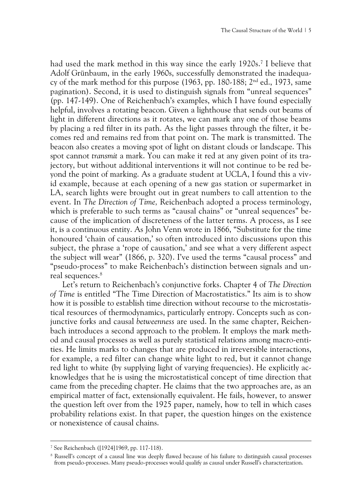had used the mark method in this way since the early 1920s.7 I believe that Adolf Grünbaum, in the early 1960s, successfully demonstrated the inadequacy of the mark method for this purpose (1963, pp. 180-188;  $2<sup>nd</sup>$  ed., 1973, same pagination). Second, it is used to distinguish signals from "unreal sequences" (pp. 147-149). One of Reichenbach's examples, which I have found especially helpful, involves a rotating beacon. Given a lighthouse that sends out beams of light in different directions as it rotates, we can mark any one of those beams by placing a red filter in its path. As the light passes through the filter, it becomes red and remains red from that point on. The mark is transmitted. The beacon also creates a moving spot of light on distant clouds or landscape. This spot cannot *transmit* a mark. You can make it red at any given point of its trajectory, but without additional interventions it will not continue to be red beyond the point of marking. As a graduate student at UCLA, I found this a vivid example, because at each opening of a new gas station or supermarket in LA, search lights were brought out in great numbers to call attention to the event. In *The Direction of Time,* Reichenbach adopted a process terminology, which is preferable to such terms as "causal chains" or "unreal sequences" because of the implication of discreteness of the latter terms. A process, as I see it, is a continuous entity. As John Venn wrote in 1866, "Substitute for the time honoured 'chain of causation,' so often introduced into discussions upon this subject, the phrase a 'rope of causation,' and see what a very different aspect the subject will wear" (1866, p. 320). I've used the terms "causal process" and "pseudo-process" to make Reichenbach's distinction between signals and unreal sequences.<sup>8</sup>

Let's return to Reichenbach's conjunctive forks. Chapter 4 of *The Direction of Time* is entitled "The Time Direction of Macrostatistics." Its aim is to show how it is possible to establish time direction without recourse to the microstatistical resources of thermodynamics, particularly entropy. Concepts such as conjunctive forks and causal *betweenness* are used. In the same chapter, Reichenbach introduces a second approach to the problem. It employs the mark method and causal processes as well as purely statistical relations among macro-entities. He limits marks to changes that are produced in irreversible interactions, for example, a red filter can change white light to red, but it cannot change red light to white (by supplying light of varying frequencies). He explicitly acknowledges that he is using the microstatistical concept of time direction that came from the preceding chapter. He claims that the two approaches are, as an empirical matter of fact, extensionally equivalent. He fails, however, to answer the question left over from the 1925 paper, namely, how to tell in which cases probability relations exist. In that paper, the question hinges on the existence or nonexistence of causal chains.

<sup>7</sup> See Reichenbach ([1924]1969, pp. 117-118).

<sup>&</sup>lt;sup>8</sup> Russell's concept of a causal line was deeply flawed because of his failure to distinguish causal processes from pseudo-processes. Many pseudo-processes would qualify as causal under Russell's characterization.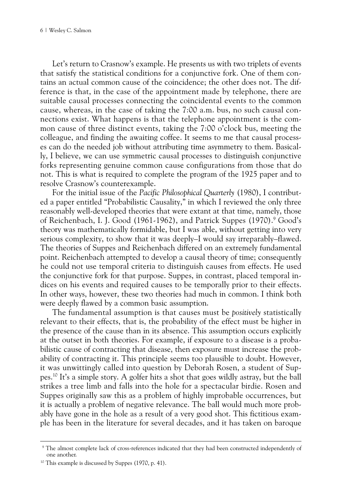Let's return to Crasnow's example. He presents us with two triplets of events that satisfy the statistical conditions for a conjunctive fork. One of them contains an actual common cause of the coincidence; the other does not. The difference is that, in the case of the appointment made by telephone, there are suitable causal processes connecting the coincidental events to the common cause, whereas, in the case of taking the 7:00 a.m. bus, no such causal connections exist. What happens is that the telephone appointment is the common cause of three distinct events, taking the 7:00 o'clock bus, meeting the colleague, and finding the awaiting coffee. It seems to me that causal processes can do the needed job without attributing time asymmetry to them. Basically, I believe, we can use symmetric causal processes to distinguish conjunctive forks representing genuine common cause configurations from those that do not. This is what is required to complete the program of the 1925 paper and to resolve Crasnow's counterexample.

For the initial issue of the *Pacific Philosophical Quarterly* (1980), I contributed a paper entitled "Probabilistic Causality," in which I reviewed the only three reasonably well-developed theories that were extant at that time, namely, those of Reichenbach, I. J. Good (1961-1962), and Patrick Suppes (1970).<sup>9</sup> Good's theory was mathematically formidable, but I was able, without getting into very serious complexity, to show that it was deeply–I would say irreparably–flawed. The theories of Suppes and Reichenbach differed on an extremely fundamental point. Reichenbach attempted to develop a causal theory of time; consequently he could not use temporal criteria to distinguish causes from effects. He used the conjunctive fork for that purpose. Suppes, in contrast, placed temporal indices on his events and required causes to be temporally prior to their effects. In other ways, however, these two theories had much in common. I think both were deeply flawed by a common basic assumption.

The fundamental assumption is that causes must be *positively* statistically relevant to their effects, that is, the probability of the effect must be higher in the presence of the cause than in its absence. This assumption occurs explicitly at the outset in both theories. For example, if exposure to a disease is a probabilistic cause of contracting that disease, then exposure must increase the probability of contracting it. This principle seems too plausible to doubt. However, it was unwittingly called into question by Deborah Rosen, a student of Suppes.10 It's a simple story. A golfer hits a shot that goes wildly astray, but the ball strikes a tree limb and falls into the hole for a spectacular birdie. Rosen and Suppes originally saw this as a problem of highly improbable occurrences, but it is actually a problem of negative relevance. The ball would much more probably have gone in the hole as a result of a very good shot. This fictitious example has been in the literature for several decades, and it has taken on baroque

<sup>9</sup> The almost complete lack of cross-references indicated that they had been constructed independently of one another.

<sup>&</sup>lt;sup>10</sup> This example is discussed by Suppes (1970, p. 41).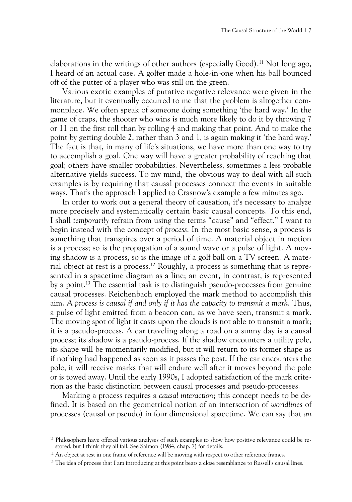elaborations in the writings of other authors (especially Good).<sup>11</sup> Not long ago, I heard of an actual case. A golfer made a hole-in-one when his ball bounced off of the putter of a player who was still on the green.

Various exotic examples of putative negative relevance were given in the literature, but it eventually occurred to me that the problem is altogether commonplace. We often speak of someone doing something 'the hard way.' In the game of craps, the shooter who wins is much more likely to do it by throwing 7 or 11 on the first roll than by rolling 4 and making that point. And to make the point by getting double 2, rather than 3 and 1, is again making it 'the hard way.' The fact is that, in many of life's situations, we have more than one way to try to accomplish a goal. One way will have a greater probability of reaching that goal; others have smaller probabilities. Nevertheless, sometimes a less probable alternative yields success. To my mind, the obvious way to deal with all such examples is by requiring that causal processes connect the events in suitable ways. That's the approach I applied to Crasnow's example a few minutes ago.

In order to work out a general theory of causation, it's necessary to analyze more precisely and systematically certain basic causal concepts. To this end, I shall *temporarily* refrain from using the terms "cause" and "effect." I want to begin instead with the concept of *process.* In the most basic sense, a process is something that transpires over a period of time. A material object in motion is a process; so is the propagation of a sound wave or a pulse of light. A moving shadow is a process, so is the image of a golf ball on a TV screen. A material object at rest is a process.12 Roughly, a process is something that is represented in a spacetime diagram as a line; an event, in contrast, is represented by a point.13 The essential task is to distinguish pseudo-processes from genuine causal processes. Reichenbach employed the mark method to accomplish this aim. *A process is causal if and only if it has the capacity to transmit a mark.* Thus, a pulse of light emitted from a beacon can, as we have seen, transmit a mark. The moving spot of light it casts upon the clouds is not able to transmit a mark; it is a pseudo-process. A car traveling along a road on a sunny day is a causal process; its shadow is a pseudo-process. If the shadow encounters a utility pole, its shape will be momentarily modified, but it will return to its former shape as if nothing had happened as soon as it passes the post. If the car encounters the pole, it will receive marks that will endure well after it moves beyond the pole or is towed away. Until the early 1990s, I adopted satisfaction of the mark criterion as the basic distinction between causal processes and pseudo-processes.

Marking a process requires a *causal interaction*; this concept needs to be defined. It is based on the geometrical notion of an intersection of *worldlines* of processes (causal or pseudo) in four dimensional spacetime. We can say that *an* 

<sup>&</sup>lt;sup>11</sup> Philosophers have offered various analyses of such examples to show how positive relevance could be restored, but I think they all fail. See Salmon (1984, chap. 7) for details.

<sup>&</sup>lt;sup>12</sup> An object at rest in one frame of reference will be moving with respect to other reference frames.

<sup>&</sup>lt;sup>13</sup> The idea of process that I am introducing at this point bears a close resemblance to Russell's causal lines.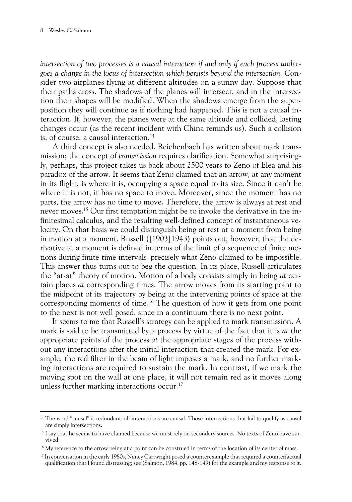*intersection of two processes is a causal interaction if and only if each process undergoes a change in the locus of intersection which persists beyond the intersection.* Consider two airplanes flying at different altitudes on a sunny day. Suppose that their paths cross. The shadows of the planes will intersect, and in the intersection their shapes will be modified. When the shadows emerge from the superposition they will continue as if nothing had happened. This is not a causal interaction. If, however, the planes were at the same altitude and collided, lasting changes occur (as the recent incident with China reminds us). Such a collision is, of course, a causal interaction.<sup>14</sup>

A third concept is also needed. Reichenbach has written about mark transmission; the concept of *transmission* requires clarification. Somewhat surprisingly, perhaps, this project takes us back about 2500 years to Zeno of Elea and his paradox of the arrow. It seems that Zeno claimed that an arrow, at any moment in its flight, is where it is, occupying a space equal to its size. Since it can't be where it is not, it has no space to move. Moreover, since the moment has no parts, the arrow has no time to move. Therefore, the arrow is always at rest and never moves.15 Our first temptation might be to invoke the derivative in the infinitesimal calculus, and the resulting well-defined concept of instantaneous velocity. On that basis we could distinguish being at rest at a moment from being in motion at a moment. Russell ([1903]1943) points out, however, that the derivative at a moment is defined in terms of the limit of a sequence of finite motions during finite time intervals–precisely what Zeno claimed to be impossible. This answer thus turns out to beg the question. In its place, Russell articulates the "at-at" theory of motion. Motion of a body consists simply in being *at* certain places *at* corresponding times. The arrow moves from its starting point to the midpoint of its trajectory by being at the intervening points of space at the corresponding moments of time.16 The question of how it gets from one point to the next is not well posed, since in a continuum there is no next point.

It seems to me that Russell's strategy can be applied to mark transmission. A mark is said to be transmitted by a process by virtue of the fact that it is *at* the appropriate points of the process *at* the appropriate stages of the process without any interactions after the initial interaction that created the mark. For example, the red filter in the beam of light imposes a mark, and no further marking interactions are required to sustain the mark. In contrast, if we mark the moving spot on the wall at one place, it will not remain red as it moves along unless further marking interactions occur.<sup>17</sup>

<sup>&</sup>lt;sup>14</sup> The word "causal" is redundant; all interactions are causal. Those intersections that fail to qualify as causal are simply intersections.

<sup>&</sup>lt;sup>15</sup> I say that he seems to have claimed because we must rely on secondary sources. No texts of Zeno have survived.

<sup>&</sup>lt;sup>16</sup> My reference to the arrow being at a point can be construed in terms of the location of its center of mass.

<sup>17</sup> In conversation in the early 1980s, Nancy Cartwright posed a counterexample that required a counterfactual qualification that I found distressing; see (Salmon, 1984, pp. 148-149) for the example and my response to it.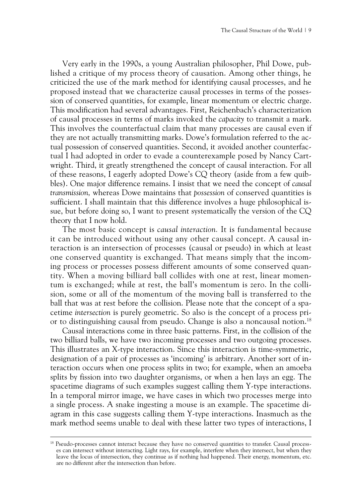Very early in the 1990s, a young Australian philosopher, Phil Dowe, published a critique of my process theory of causation. Among other things, he criticized the use of the mark method for identifying causal processes, and he proposed instead that we characterize causal processes in terms of the possession of conserved quantities, for example, linear momentum or electric charge. This modification had several advantages. First, Reichenbach's characterization of causal processes in terms of marks invoked the *capacity* to transmit a mark. This involves the counterfactual claim that many processes are causal even if they are not actually transmitting marks. Dowe's formulation referred to the actual possession of conserved quantities. Second, it avoided another counterfactual I had adopted in order to evade a counterexample posed by Nancy Cartwright. Third, it greatly strengthened the concept of causal interaction. For all of these reasons, I eagerly adopted Dowe's CQ theory (aside from a few quibbles). One major difference remains. I insist that we need the concept of *causal transmission,* whereas Dowe maintains that *possession* of conserved quantities is sufficient. I shall maintain that this difference involves a huge philosophical issue, but before doing so, I want to present systematically the version of the CQ theory that I now hold.

The most basic concept is *causal interaction.* It is fundamental because it can be introduced without using any other causal concept. A causal interaction is an intersection of processes (causal or pseudo) in which at least one conserved quantity is exchanged. That means simply that the incoming process or processes possess different amounts of some conserved quantity. When a moving billiard ball collides with one at rest, linear momentum is exchanged; while at rest, the ball's momentum is zero. In the collision, some or all of the momentum of the moving ball is transferred to the ball that was at rest before the collision. Please note that the concept of a spacetime *intersection* is purely geometric. So also is the concept of a process prior to distinguishing causal from pseudo. Change is also a noncausal notion.18

Causal interactions come in three basic patterns. First, in the collision of the two billiard balls, we have two incoming processes and two outgoing processes. This illustrates an X-type interaction. Since this interaction is time-symmetric, designation of a pair of processes as 'incoming' is arbitrary. Another sort of interaction occurs when one process splits in two; for example, when an amoeba splits by fission into two daughter organisms, or when a hen lays an egg. The spacetime diagrams of such examples suggest calling them Y-type interactions. In a temporal mirror image, we have cases in which two processes merge into a single process. A snake ingesting a mouse is an example. The spacetime diagram in this case suggests calling them Y-type interactions. Inasmuch as the mark method seems unable to deal with these latter two types of interactions, I

<sup>&</sup>lt;sup>18</sup> Pseudo-processes cannot interact because they have no conserved quantities to transfer. Causal processes can intersect without interacting. Light rays, for example, interfere when they intersect, but when they leave the locus of intersection, they continue as if nothing had happened. Their energy, momentum, etc. are no different after the intersection than before.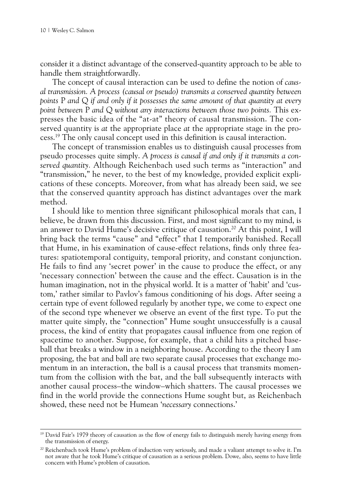consider it a distinct advantage of the conserved-quantity approach to be able to handle them straightforwardly.

The concept of causal interaction can be used to define the notion of *causal transmission. A process (causal or pseudo) transmits a conserved quantity between points* P *and* Q *if and only if it possesses the same amount of that quantity at every point between* P *and* Q *without any interactions between those two points.* This expresses the basic idea of the "at-at" theory of causal transmission. The conserved quantity is *at* the appropriate place *at* the appropriate stage in the process.19 The only causal concept used in this definition is causal interaction.

The concept of transmission enables us to distinguish causal processes from pseudo processes quite simply. *A process is causal if and only if it transmits a conserved quantity.* Although Reichenbach used such terms as "interaction" and "transmission," he never, to the best of my knowledge, provided explicit explications of these concepts. Moreover, from what has already been said, we see that the conserved quantity approach has distinct advantages over the mark method.

I should like to mention three significant philosophical morals that can, I believe, be drawn from this discussion. First, and most significant to my mind, is an answer to David Hume's decisive critique of causation.<sup>20</sup> At this point, I will bring back the terms "cause" and "effect" that I temporarily banished. Recall that Hume, in his examination of cause-effect relations, finds only three features: spatiotemporal contiguity, temporal priority, and constant conjunction. He fails to find any 'secret power' in the cause to produce the effect, or any 'necessary connection' between the cause and the effect. Causation is in the human imagination, not in the physical world. It is a matter of 'habit' and 'custom,' rather similar to Pavlov's famous conditioning of his dogs. After seeing a certain type of event followed regularly by another type, we come to expect one of the second type whenever we observe an event of the first type. To put the matter quite simply, the "connection" Hume sought unsuccessfully is a causal process, the kind of entity that propagates causal influence from one region of spacetime to another. Suppose, for example, that a child hits a pitched baseball that breaks a window in a neighboring house. According to the theory I am proposing, the bat and ball are two separate causal processes that exchange momentum in an interaction, the ball is a causal process that transmits momentum from the collision with the bat, and the ball subsequently interacts with another causal process–the window–which shatters. The causal processes we find in the world provide the connections Hume sought but, as Reichenbach showed, these need not be Humean '*necessary* connections.'

<sup>&</sup>lt;sup>19</sup> David Fair's 1979 theory of causation as the flow of energy fails to distinguish merely having energy from the transmission of energy.

<sup>&</sup>lt;sup>20</sup> Reichenbach took Hume's problem of induction very seriously, and made a valiant attempt to solve it. I'm not aware that he took Hume's critique of causation as a serious problem. Dowe, also, seems to have little concern with Hume's problem of causation.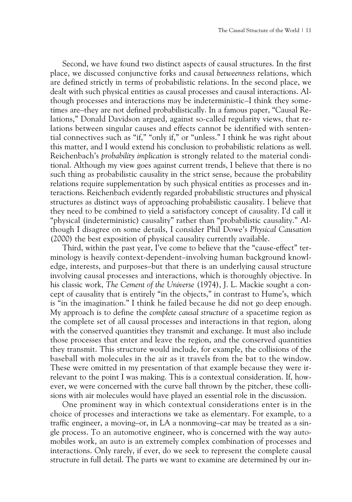Second, we have found two distinct aspects of causal structures. In the first place, we discussed conjunctive forks and causal *betweenness* relations, which are defined strictly in terms of probabilistic relations. In the second place, we dealt with such physical entities as causal processes and causal interactions. Although processes and interactions may be indeterministic–I think they sometimes are–they are not defined probabilistically. In a famous paper, "Causal Relations," Donald Davidson argued, against so-called regularity views, that relations between singular causes and effects cannot be identified with sentential connectives such as "if," "only if," or "unless." I think he was right about this matter, and I would extend his conclusion to probabilistic relations as well. Reichenbach's *probability implication* is strongly related to the material conditional. Although my view goes against current trends, I believe that there is no such thing as probabilistic causality in the strict sense, because the probability relations require supplementation by such physical entities as processes and interactions. Reichenbach evidently regarded probabilistic structures and physical structures as distinct ways of approaching probabilistic causality. I believe that they need to be combined to yield a satisfactory concept of causality. I'd call it "physical (indeterministic) causality" rather than "probabilistic causality." Although I disagree on some details, I consider Phil Dowe's *Physical Causation* (2000) the best exposition of physical causality currently available.

Third, within the past year, I've come to believe that the "cause-effect" terminology is heavily context-dependent–involving human background knowledge, interests, and purposes–but that there is an underlying causal structure involving causal processes and interactions, which is thoroughly objective. In his classic work, *The Cement of the Universe* (1974), J. L. Mackie sought a concept of causality that is entirely "in the objects," in contrast to Hume's, which is "in the imagination." I think he failed because he did not go deep enough. My approach is to define the *complete causal structure* of a spacetime region as the complete set of all causal processes and interactions in that region, along with the conserved quantities they transmit and exchange. It must also include those processes that enter and leave the region, and the conserved quantities they transmit. This structure would include, for example, the collisions of the baseball with molecules in the air as it travels from the bat to the window. These were omitted in my presentation of that example because they were irrelevant to the point I was making. This is a contextual consideration. If, however, we were concerned with the curve ball thrown by the pitcher, these collisions with air molecules would have played an essential role in the discussion.

One prominent way in which contextual considerations enter is in the choice of processes and interactions we take as elementary. For example, to a traffic engineer, a moving–or, in LA a nonmoving–car may be treated as a single process. To an automotive engineer, who is concerned with the way automobiles work, an auto is an extremely complex combination of processes and interactions. Only rarely, if ever, do we seek to represent the complete causal structure in full detail. The parts we want to examine are determined by our in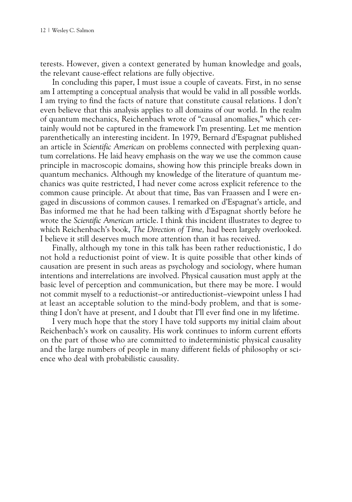terests. However, given a context generated by human knowledge and goals, the relevant cause-effect relations are fully objective.

In concluding this paper, I must issue a couple of caveats. First, in no sense am I attempting a conceptual analysis that would be valid in all possible worlds. I am trying to find the facts of nature that constitute causal relations. I don't even believe that this analysis applies to all domains of our world. In the realm of quantum mechanics, Reichenbach wrote of "causal anomalies," which certainly would not be captured in the framework I'm presenting. Let me mention parenthetically an interesting incident. In 1979, Bernard d'Espagnat published an article in *Scientific American* on problems connected with perplexing quantum correlations. He laid heavy emphasis on the way we use the common cause principle in macroscopic domains, showing how this principle breaks down in quantum mechanics. Although my knowledge of the literature of quantum mechanics was quite restricted, I had never come across explicit reference to the common cause principle. At about that time, Bas van Fraassen and I were engaged in discussions of common causes. I remarked on d'Espagnat's article, and Bas informed me that he had been talking with d'Espagnat shortly before he wrote the *Scientific American* article. I think this incident illustrates to degree to which Reichenbach's book, *The Direction of Time,* had been largely overlooked. I believe it still deserves much more attention than it has received.

Finally, although my tone in this talk has been rather reductionistic, I do not hold a reductionist point of view. It is quite possible that other kinds of causation are present in such areas as psychology and sociology, where human intentions and interrelations are involved. Physical causation must apply at the basic level of perception and communication, but there may be more. I would not commit myself to a reductionist–or antireductionist–viewpoint unless I had at least an acceptable solution to the mind-body problem, and that is something I don't have at present, and I doubt that I'll ever find one in my lifetime.

I very much hope that the story I have told supports my initial claim about Reichenbach's work on causality. His work continues to inform current efforts on the part of those who are committed to indeterministic physical causality and the large numbers of people in many different fields of philosophy or science who deal with probabilistic causality.